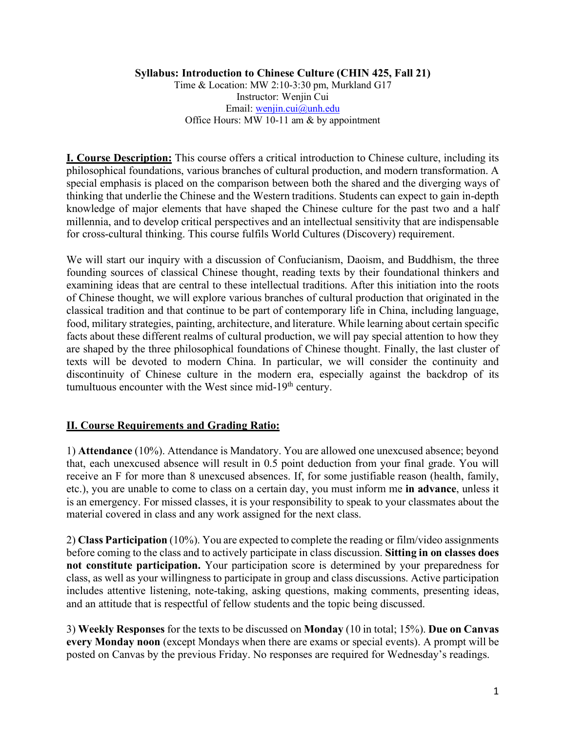# **Syllabus: Introduction to Chinese Culture (CHIN 425, Fall 21)**

Time & Location: MW 2:10-3:30 pm, Murkland G17 Instructor: Wenjin Cui Email: wenjin.cui@unh.edu Office Hours: MW 10-11 am & by appointment

**I. Course Description:** This course offers a critical introduction to Chinese culture, including its philosophical foundations, various branches of cultural production, and modern transformation. A special emphasis is placed on the comparison between both the shared and the diverging ways of thinking that underlie the Chinese and the Western traditions. Students can expect to gain in-depth knowledge of major elements that have shaped the Chinese culture for the past two and a half millennia, and to develop critical perspectives and an intellectual sensitivity that are indispensable for cross-cultural thinking. This course fulfils World Cultures (Discovery) requirement.

We will start our inquiry with a discussion of Confucianism, Daoism, and Buddhism, the three founding sources of classical Chinese thought, reading texts by their foundational thinkers and examining ideas that are central to these intellectual traditions. After this initiation into the roots of Chinese thought, we will explore various branches of cultural production that originated in the classical tradition and that continue to be part of contemporary life in China, including language, food, military strategies, painting, architecture, and literature. While learning about certain specific facts about these different realms of cultural production, we will pay special attention to how they are shaped by the three philosophical foundations of Chinese thought. Finally, the last cluster of texts will be devoted to modern China. In particular, we will consider the continuity and discontinuity of Chinese culture in the modern era, especially against the backdrop of its tumultuous encounter with the West since mid-19<sup>th</sup> century.

# **II. Course Requirements and Grading Ratio:**

1) **Attendance** (10%). Attendance is Mandatory. You are allowed one unexcused absence; beyond that, each unexcused absence will result in 0.5 point deduction from your final grade. You will receive an F for more than 8 unexcused absences. If, for some justifiable reason (health, family, etc.), you are unable to come to class on a certain day, you must inform me **in advance**, unless it is an emergency. For missed classes, it is your responsibility to speak to your classmates about the material covered in class and any work assigned for the next class.

2) **Class Participation** (10%). You are expected to complete the reading or film/video assignments before coming to the class and to actively participate in class discussion. **Sitting in on classes does not constitute participation.** Your participation score is determined by your preparedness for class, as well as your willingness to participate in group and class discussions. Active participation includes attentive listening, note-taking, asking questions, making comments, presenting ideas, and an attitude that is respectful of fellow students and the topic being discussed.

3) **Weekly Responses** for the texts to be discussed on **Monday** (10 in total; 15%). **Due on Canvas every Monday noon** (except Mondays when there are exams or special events). A prompt will be posted on Canvas by the previous Friday. No responses are required for Wednesday's readings.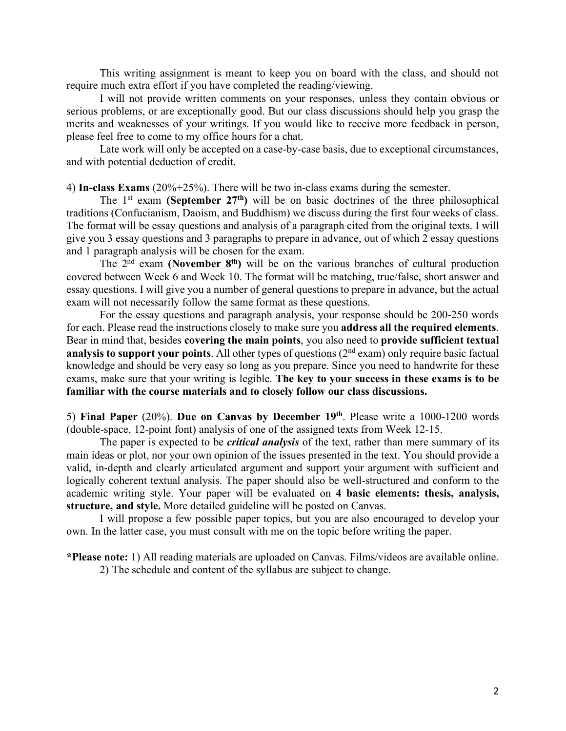This writing assignment is meant to keep you on board with the class, and should not require much extra effort if you have completed the reading/viewing.

I will not provide written comments on your responses, unless they contain obvious or serious problems, or are exceptionally good. But our class discussions should help you grasp the merits and weaknesses of your writings. If you would like to receive more feedback in person, please feel free to come to my office hours for a chat.

Late work will only be accepted on a case-by-case basis, due to exceptional circumstances, and with potential deduction of credit.

4) **In-class Exams** (20%+25%). There will be two in-class exams during the semester.

The 1st exam **(September 27th)** will be on basic doctrines of the three philosophical traditions (Confucianism, Daoism, and Buddhism) we discuss during the first four weeks of class. The format will be essay questions and analysis of a paragraph cited from the original texts. I will give you 3 essay questions and 3 paragraphs to prepare in advance, out of which 2 essay questions and 1 paragraph analysis will be chosen for the exam.

The 2nd exam **(November 8th)** will be on the various branches of cultural production covered between Week 6 and Week 10. The format will be matching, true/false, short answer and essay questions. I will give you a number of general questions to prepare in advance, but the actual exam will not necessarily follow the same format as these questions.

For the essay questions and paragraph analysis, your response should be 200-250 words for each. Please read the instructions closely to make sure you **address all the required elements**. Bear in mind that, besides **covering the main points**, you also need to **provide sufficient textual analysis to support your points**. All other types of questions (2<sup>nd</sup> exam) only require basic factual knowledge and should be very easy so long as you prepare. Since you need to handwrite for these exams, make sure that your writing is legible. **The key to your success in these exams is to be familiar with the course materials and to closely follow our class discussions.** 

5) **Final Paper** (20%). **Due on Canvas by December 19th**. Please write a 1000-1200 words (double-space, 12-point font) analysis of one of the assigned texts from Week 12-15.

The paper is expected to be *critical analysis* of the text, rather than mere summary of its main ideas or plot, nor your own opinion of the issues presented in the text. You should provide a valid, in-depth and clearly articulated argument and support your argument with sufficient and logically coherent textual analysis. The paper should also be well-structured and conform to the academic writing style. Your paper will be evaluated on **4 basic elements: thesis, analysis, structure, and style.** More detailed guideline will be posted on Canvas.

I will propose a few possible paper topics, but you are also encouraged to develop your own. In the latter case, you must consult with me on the topic before writing the paper.

**\*Please note:** 1) All reading materials are uploaded on Canvas. Films/videos are available online. 2) The schedule and content of the syllabus are subject to change.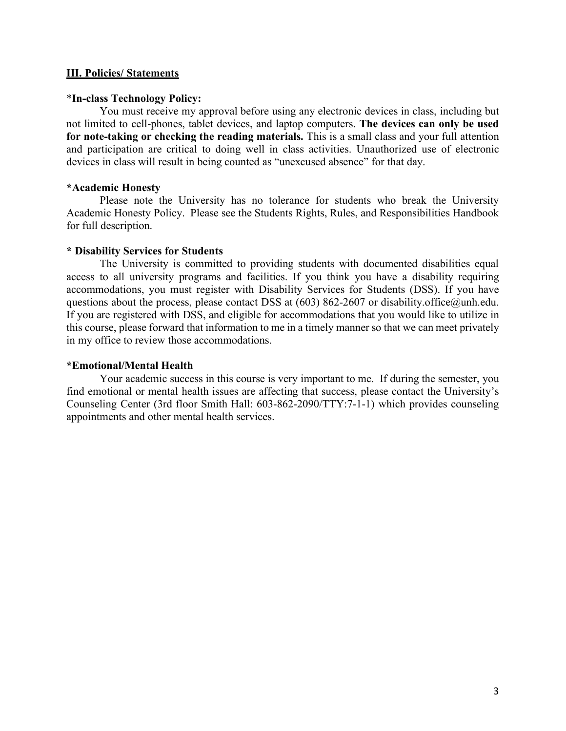# **III. Policies/ Statements**

# \***In-class Technology Policy:**

You must receive my approval before using any electronic devices in class, including but not limited to cell-phones, tablet devices, and laptop computers. **The devices can only be used for note-taking or checking the reading materials.** This is a small class and your full attention and participation are critical to doing well in class activities. Unauthorized use of electronic devices in class will result in being counted as "unexcused absence" for that day.

# **\*Academic Honesty**

Please note the University has no tolerance for students who break the University Academic Honesty Policy. Please see the Students Rights, Rules, and Responsibilities Handbook for full description.

# **\* Disability Services for Students**

The University is committed to providing students with documented disabilities equal access to all university programs and facilities. If you think you have a disability requiring accommodations, you must register with Disability Services for Students (DSS). If you have questions about the process, please contact DSS at  $(603)$  862-2607 or disability.office@unh.edu. If you are registered with DSS, and eligible for accommodations that you would like to utilize in this course, please forward that information to me in a timely manner so that we can meet privately in my office to review those accommodations.

# **\*Emotional/Mental Health**

Your academic success in this course is very important to me. If during the semester, you find emotional or mental health issues are affecting that success, please contact the University's Counseling Center (3rd floor Smith Hall: 603-862-2090/TTY:7-1-1) which provides counseling appointments and other mental health services.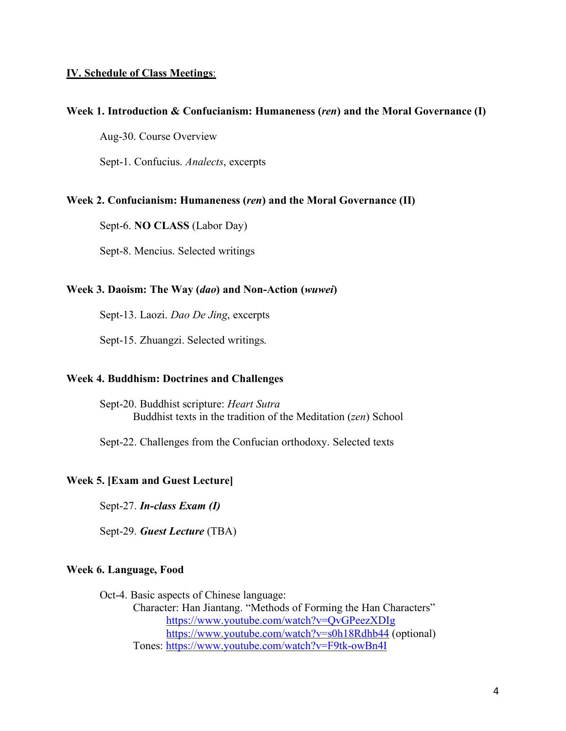# **IV. Schedule of Class Meetings**:

# **Week 1. Introduction & Confucianism: Humaneness (***ren***) and the Moral Governance (I)**

Aug-30. Course Overview

Sept-1. Confucius. *Analects*, excerpts

#### **Week 2. Confucianism: Humaneness (***ren***) and the Moral Governance (II)**

Sept-6. **NO CLASS** (Labor Day)

Sept-8. Mencius. Selected writings

# **Week 3. Daoism: The Way (***dao***) and Non-Action (***wuwei***)**

Sept-13. Laozi. *Dao De Jing*, excerpts

Sept-15. Zhuangzi. Selected writings.

#### **Week 4. Buddhism: Doctrines and Challenges**

Sept-20. Buddhist scripture: *Heart Sutra* Buddhist texts in the tradition of the Meditation (*zen*) School

Sept-22. Challenges from the Confucian orthodoxy. Selected texts

### **Week 5. [Exam and Guest Lecture]**

Sept-27. *In-class Exam (I)*

Sept-29. *Guest Lecture* (TBA)

# **Week 6. Language, Food**

Oct-4. Basic aspects of Chinese language: Character: Han Jiantang. "Methods of Forming the Han Characters" https://www.youtube.com/watch?v=QvGPeezXDIg https://www.youtube.com/watch?v=s0h18Rdhb44 (optional) Tones: https://www.youtube.com/watch?v=F9tk-owBn4I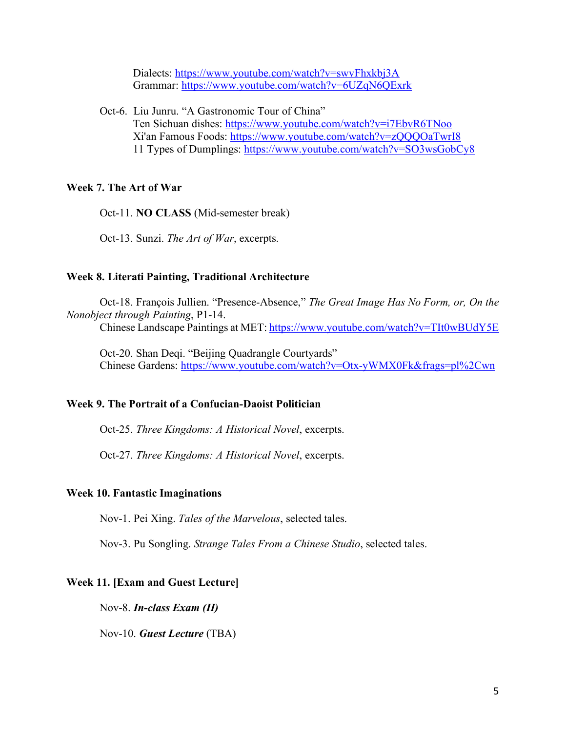Dialects: https://www.youtube.com/watch?v=swvFhxkbj3A Grammar: https://www.youtube.com/watch?v=6UZqN6QExrk

Oct-6. Liu Junru. "A Gastronomic Tour of China" Ten Sichuan dishes: https://www.youtube.com/watch?v=i7EbvR6TNoo Xi'an Famous Foods: https://www.youtube.com/watch?v=zQQQOaTwrI8 11 Types of Dumplings: https://www.youtube.com/watch?v=SO3wsGobCy8

# **Week 7. The Art of War**

Oct-11. **NO CLASS** (Mid-semester break)

Oct-13. Sunzi. *The Art of War*, excerpts.

#### **Week 8. Literati Painting, Traditional Architecture**

Oct-18. François Jullien. "Presence-Absence," *The Great Image Has No Form, or, On the Nonobject through Painting*, P1-14.

Chinese Landscape Paintings at MET: https://www.youtube.com/watch?v=TIt0wBUdY5E

Oct-20. Shan Deqi. "Beijing Quadrangle Courtyards" Chinese Gardens: https://www.youtube.com/watch?v=Otx-yWMX0Fk&frags=pl%2Cwn

#### **Week 9. The Portrait of a Confucian-Daoist Politician**

Oct-25. *Three Kingdoms: A Historical Novel*, excerpts.

Oct-27. *Three Kingdoms: A Historical Novel*, excerpts.

### **Week 10. Fantastic Imaginations**

Nov-1. Pei Xing. *Tales of the Marvelous*, selected tales.

Nov-3. Pu Songling. *Strange Tales From a Chinese Studio*, selected tales.

#### **Week 11. [Exam and Guest Lecture]**

Nov-8. *In-class Exam (II)*

Nov-10. *Guest Lecture* (TBA)